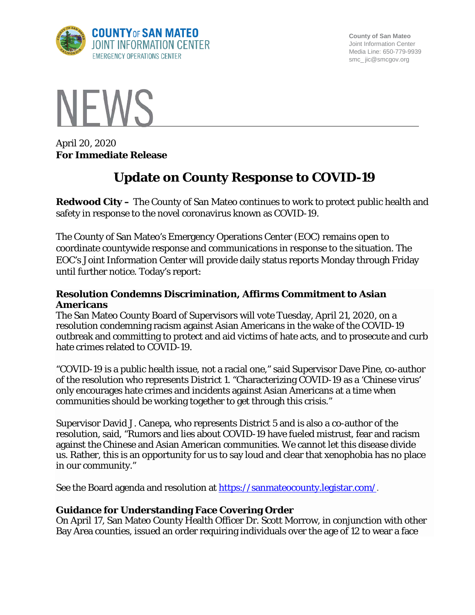

**County of San Mateo** Joint Information Center Media Line: 650-779-9939 smc\_ jic@smcgov.org



April 20, 2020 **For Immediate Release**

# **Update on County Response to COVID-19**

**Redwood City –** The County of San Mateo continues to work to protect public health and safety in response to the novel coronavirus known as COVID-19.

The County of San Mateo's Emergency Operations Center (EOC) remains open to coordinate countywide response and communications in response to the situation. The EOC's Joint Information Center will provide daily status reports Monday through Friday until further notice. Today's report:

#### **Resolution Condemns Discrimination, Affirms Commitment to Asian Americans**

The San Mateo County Board of Supervisors will vote Tuesday, April 21, 2020, on a resolution condemning racism against Asian Americans in the wake of the COVID-19 outbreak and committing to protect and aid victims of hate acts, and to prosecute and curb hate crimes related to COVID-19.

"COVID-19 is a public health issue, not a racial one," said Supervisor Dave Pine, co-author of the resolution who represents District 1. "Characterizing COVID-19 as a 'Chinese virus' only encourages hate crimes and incidents against Asian Americans at a time when communities should be working together to get through this crisis."

Supervisor David J. Canepa, who represents [District](https://bos.smcgov.org/about-district-5) 5 and is also a co-author of the resolution, said, "Rumors and lies about COVID-19 have fueled mistrust, fear and racism against the Chinese and Asian American communities. We cannot let this disease divide us. Rather, this is an opportunity for us to say loud and clear that xenophobia has no place in our community."

See the Board agenda and resolution at [https://sanmateocounty.legistar.com/.](https://sanmateocounty.legistar.com/)

## **Guidance for Understanding Face Covering Order**

On April 17, San Mateo County Health Officer Dr. Scott Morrow, in conjunction with other Bay Area counties, issued an order requiring individuals over the age of 12 to wear a face